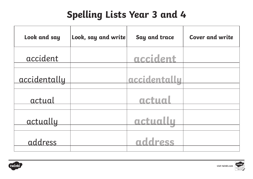| Look and say        | Look, say and write | Say and trace | <b>Cover and write</b> |
|---------------------|---------------------|---------------|------------------------|
| accident            |                     | accident      |                        |
| <u>accidentally</u> |                     | accidentally  |                        |
| actual              |                     | actual        |                        |
| actually            |                     | actually      |                        |
| address             |                     | nddress       |                        |

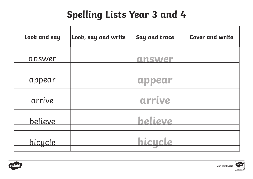| Look and say   | Look, say and write | Say and trace  | <b>Cover and write</b> |
|----------------|---------------------|----------------|------------------------|
| answer         |                     | answer         |                        |
| <u>appear</u>  |                     |                |                        |
| arrive         |                     | arrive         |                        |
| <u>believe</u> |                     | <b>believe</b> |                        |
| <u>bicycle</u> |                     |                |                        |



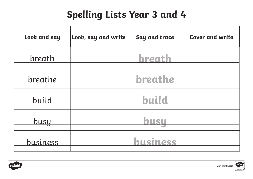| Look and say | Look, say and write | Say and trace | <b>Cover and write</b> |
|--------------|---------------------|---------------|------------------------|
| breath       |                     | breath        |                        |
| breathe      |                     | breathe       |                        |
| build        |                     | <b>build</b>  |                        |
| <u>busy</u>  |                     | busu          |                        |
| business     |                     | husiness      |                        |



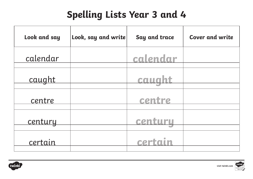| Look and say   | Look, say and write | Say and trace | <b>Cover and write</b> |
|----------------|---------------------|---------------|------------------------|
| calendar       |                     | calendar      |                        |
| caught         |                     | caught        |                        |
| centre         |                     | centre        |                        |
| <u>century</u> |                     | centuru       |                        |
| certain        |                     | cert          |                        |



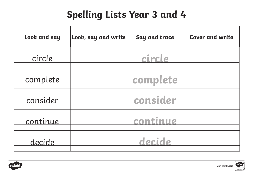| Look and say | Look, say and write | Say and trace | <b>Cover and write</b> |
|--------------|---------------------|---------------|------------------------|
| circle       |                     | circle        |                        |
| complete     |                     | lete<br>comp  |                        |
| consider     |                     | consider      |                        |
| continue     |                     | continue      |                        |
| decide       |                     | decide        |                        |



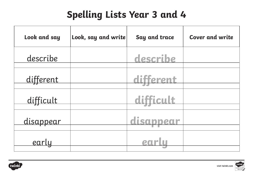| Look and say     | Look, say and write | Say and trace | <b>Cover and write</b> |
|------------------|---------------------|---------------|------------------------|
| describe         |                     | describe      |                        |
| different        |                     | different     |                        |
| difficult        |                     | difficult     |                        |
| <u>disappear</u> |                     | disappear     |                        |
| <u>early</u>     |                     |               |                        |



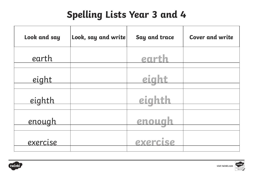| Look and say    | Look, say and write | Say and trace | <b>Cover and write</b> |
|-----------------|---------------------|---------------|------------------------|
| earth           |                     | earth         |                        |
| <u>eight</u>    |                     | eig           |                        |
| <u>eighth</u>   |                     | eighth        |                        |
| <u>enough</u>   |                     | enough        |                        |
| <u>exercise</u> |                     | exercise      |                        |

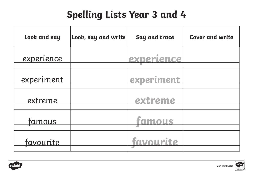| Look and say      | Look, say and write | Say and trace | <b>Cover and write</b> |
|-------------------|---------------------|---------------|------------------------|
| experience        |                     | experience    |                        |
| <u>experiment</u> |                     | experiment    |                        |
| extreme           |                     | extreme       |                        |
| <u>famous</u>     |                     | tamous        |                        |
| <u>favourite</u>  |                     | favourite     |                        |



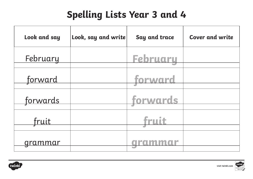| Look and say   | Look, say and write | Say and trace   | <b>Cover and write</b> |
|----------------|---------------------|-----------------|------------------------|
| February       |                     | <b>Februaru</b> |                        |
| <u>forward</u> |                     | forward         |                        |
| forwards       |                     | forwards        |                        |
| fruit          |                     | fruit           |                        |
|                |                     |                 |                        |



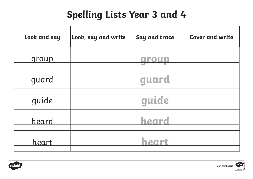| Look and say | Look, say and write | Say and trace | <b>Cover and write</b> |
|--------------|---------------------|---------------|------------------------|
| group        |                     |               |                        |
| <u>guard</u> |                     | auard         |                        |
| guide        |                     | quide         |                        |
| <u>heard</u> |                     | heard         |                        |
| heart        |                     |               |                        |



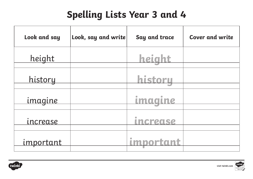| Look and say     | Look, say and write | Say and trace                                  | <b>Cover and write</b> |
|------------------|---------------------|------------------------------------------------|------------------------|
| height           |                     | height                                         |                        |
| <u>history</u>   |                     | history                                        |                        |
| <i>imagine</i>   |                     | magine                                         |                        |
| <u>increase</u>  |                     | $\qquad \qquad \Box$<br><i><b>Increase</b></i> |                        |
| <u>important</u> |                     | important                                      |                        |



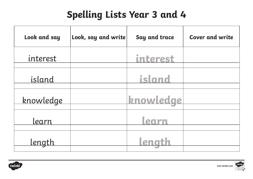| Look and say     | Look, say and write | Say and trace | <b>Cover and write</b> |
|------------------|---------------------|---------------|------------------------|
| interest         |                     | interest      |                        |
| island           |                     | island        |                        |
| <u>knowledge</u> |                     | knowledge     |                        |
| learn            |                     | parn          |                        |
| <u>length</u>    |                     |               |                        |



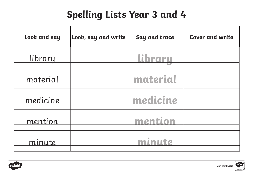| Look and say | Look, say and write | Say and trace  | <b>Cover and write</b> |
|--------------|---------------------|----------------|------------------------|
| library      |                     | <u>library</u> |                        |
| material     |                     | material       |                        |
| medicine     |                     | medicine       |                        |
| mention      |                     | mention        |                        |
| minute       |                     | minute         |                        |

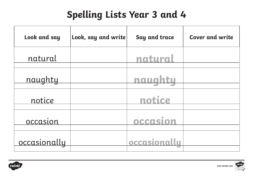| Look and say    | Look, say and write | Say and trace | <b>Cover and write</b> |
|-----------------|---------------------|---------------|------------------------|
| natural         |                     | natural       |                        |
| naughty         |                     | naua<br>htu   |                        |
| notice          |                     | notice        |                        |
| <u>occasion</u> |                     | occasion      |                        |
| occasionally    |                     | occasionallu  |                        |



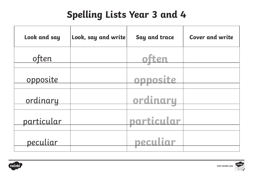| Look and say    | Look, say and write | Say and trace | <b>Cover and write</b> |
|-----------------|---------------------|---------------|------------------------|
| often           |                     |               |                        |
| <u>opposite</u> |                     | opposite      |                        |
| ordinary        |                     | ordinaru      |                        |
| particular      |                     | particular    |                        |
| peculiar        |                     | peculiar      |                        |



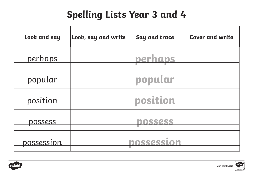| Look and say      | Look, say and write | Say and trace     | <b>Cover and write</b> |
|-------------------|---------------------|-------------------|------------------------|
| perhaps           |                     | perhaps           |                        |
| <u>popular</u>    |                     | popular           |                        |
| position          |                     | position          |                        |
| possess           |                     | DOSSESS           |                        |
| <u>possession</u> |                     | <b>DOSSession</b> |                        |



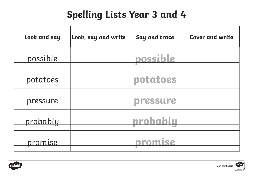| Look and say    | Look, say and write | Say and trace | <b>Cover and write</b> |
|-----------------|---------------------|---------------|------------------------|
| possible        |                     | possible      |                        |
| <u>potatoes</u> |                     | potatoes      |                        |
| pressure        |                     | pressure      |                        |
| probably        |                     | probablu      |                        |
| <u>promise</u>  |                     |               |                        |

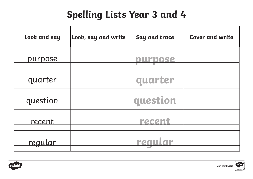| Look and say   | Look, say and write | Say and trace | <b>Cover and write</b> |
|----------------|---------------------|---------------|------------------------|
| purpose        |                     |               |                        |
| <u>quarter</u> |                     | auarter       |                        |
| question       |                     | question      |                        |
| <u>recent</u>  |                     | recent        |                        |
| regular        |                     | rea           |                        |

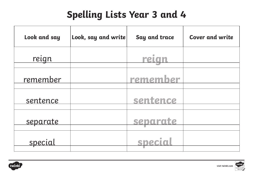| Look and say    | Look, say and write | Say and trace | <b>Cover and write</b> |
|-----------------|---------------------|---------------|------------------------|
| reign           |                     | rela          |                        |
| remember        |                     | remember      |                        |
| sentence        |                     | sentence      |                        |
| <u>separate</u> |                     | separate      |                        |
| special         |                     | SDecl         |                        |
|                 |                     |               |                        |



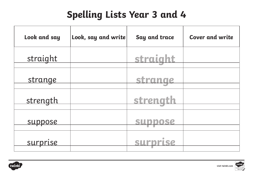| Look and say    | Look, say and write | Say and trace | <b>Cover and write</b> |
|-----------------|---------------------|---------------|------------------------|
| straight        |                     | straight      |                        |
| <u>strange</u>  |                     | strange       |                        |
| <u>strength</u> |                     | strength      |                        |
| suppose         |                     | SUDDOSe       |                        |
| <u>surprise</u> |                     |               |                        |

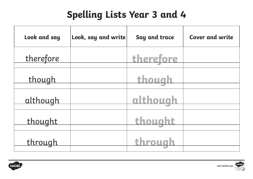| Look and say    | Look, say and write | Say and trace | <b>Cover and write</b> |
|-----------------|---------------------|---------------|------------------------|
| therefore       |                     | therefore     |                        |
| <u>though</u>   |                     | though        |                        |
| <u>although</u> |                     | although      |                        |
| thought         |                     | thought       |                        |
| <u>through</u>  |                     | through       |                        |